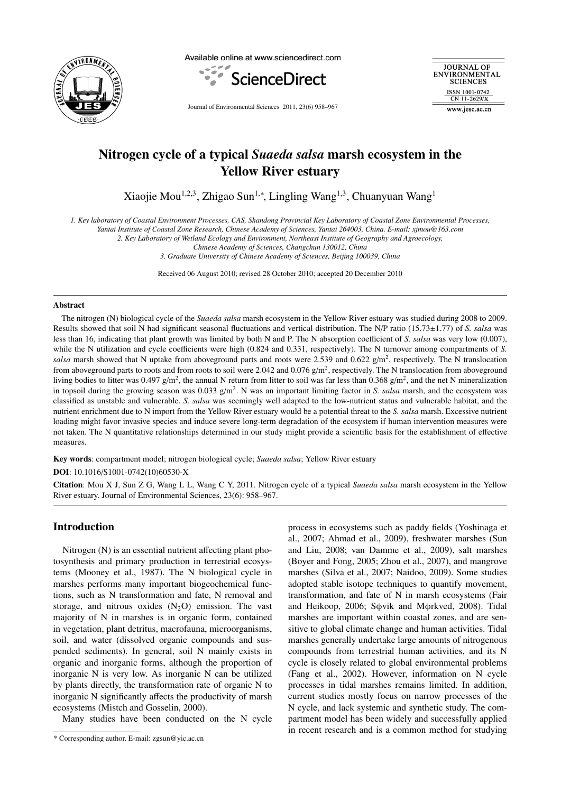

Available online at www.sciencedirect.com



**JOURNAL OF** ENVIRONMENTAL **SCIENCES** ISSN 1001-0742 CN 11-2629/X www.iesc.ac.cn

Journal of Environmental Sciences 2011, 23(6) 958–967

# Nitrogen cycle of a typical *Suaeda salsa* marsh ecosystem in the Yellow River estuary

Xiaojie Mou<sup>1,2,3</sup>, Zhigao Sun<sup>1,∗</sup>, Lingling Wang<sup>1,3</sup>, Chuanyuan Wang<sup>1</sup>

*1. Key laboratory of Coastal Environment Processes, CAS, Shandong Provincial Key Laboratory of Coastal Zone Environmental Processes,*

*Yantai Institute of Coastal Zone Research, Chinese Academy of Sciences, Yantai 264003, China. E-mail: xjmou@163.com*

*2. Key Laboratory of Wetland Ecology and Environment, Northeast Institute of Geography and Agroecology,*

*Chinese Academy of Sciences, Changchun 130012, China*

*3. Graduate University of Chinese Academy of Sciences, Beijing 100039, China*

Received 06 August 2010; revised 28 October 2010; accepted 20 December 2010

#### Abstract

The nitrogen (N) biological cycle of the *Suaeda salsa* marsh ecosystem in the Yellow River estuary was studied during 2008 to 2009. Results showed that soil N had significant seasonal fluctuations and vertical distribution. The N/P ratio (15.73±1.77) of *S. salsa* was less than 16, indicating that plant growth was limited by both N and P. The N absorption coefficient of *S. salsa* was very low (0.007), while the N utilization and cycle coefficients were high (0.824 and 0.331, respectively). The N turnover among compartments of *S*. *salsa* marsh showed that N uptake from aboveground parts and roots were 2.539 and  $0.622$  g/m<sup>2</sup>, respectively. The N translocation from aboveground parts to roots and from roots to soil were 2.042 and 0.076 g/m<sup>2</sup>, respectively. The N translocation from aboveground living bodies to litter was 0.497 g/m<sup>2</sup>, the annual N return from litter to soil was far less than 0.368 g/m<sup>2</sup>, and the net N mineralization in topsoil during the growing season was 0.033 g/m2. N was an important limiting factor in *S. salsa* marsh, and the ecosystem was classified as unstable and vulnerable. *S. salsa* was seemingly well adapted to the low-nutrient status and vulnerable habitat, and the nutrient enrichment due to N import from the Yellow River estuary would be a potential threat to the *S. salsa* marsh. Excessive nutrient loading might favor invasive species and induce severe long-term degradation of the ecosystem if human intervention measures were not taken. The N quantitative relationships determined in our study might provide a scientific basis for the establishment of effective measures.

Key words: compartment model; nitrogen biological cycle; *Suaeda salsa*; Yellow River estuary DOI: 10.1016/S1001-0742(10)60530-X

Citation: Mou X J, Sun Z G, Wang L L, Wang C Y, 2011. Nitrogen cycle of a typical *Suaeda salsa* marsh ecosystem in the Yellow River estuary. Journal of Environmental Sciences, 23(6): 958–967.

# Introduction

Nitrogen (N) is an essential nutrient affecting plant photosynthesis and primary production in terrestrial ecosystems (Mooney et al., 1987). The N biological cycle in marshes performs many important biogeochemical functions, such as N transformation and fate, N removal and storage, and nitrous oxides  $(N_2O)$  emission. The vast majority of N in marshes is in organic form, contained in vegetation, plant detritus, macrofauna, microorganisms, soil, and water (dissolved organic compounds and suspended sediments). In general, soil N mainly exists in organic and inorganic forms, although the proportion of inorganic N is very low. As inorganic N can be utilized by plants directly, the transformation rate of organic N to inorganic N significantly affects the productivity of marsh ecosystems (Mistch and Gosselin, 2000).

Many studies have been conducted on the N cycle

process in ecosystems such as paddy fields (Yoshinaga et al., 2007; Ahmad et al., 2009), freshwater marshes (Sun and Liu, 2008; van Damme et al., 2009), salt marshes (Boyer and Fong, 2005; Zhou et al., 2007), and mangrove marshes (Silva et al., 2007; Naidoo, 2009). Some studies adopted stable isotope techniques to quantify movement, transformation, and fate of N in marsh ecosystems (Fair and Heikoop, 2006; Sφvik and Mφrkved, 2008). Tidal marshes are important within coastal zones, and are sensitive to global climate change and human activities. Tidal marshes generally undertake large amounts of nitrogenous compounds from terrestrial human activities, and its N cycle is closely related to global environmental problems (Fang et al., 2002). However, information on N cycle processes in tidal marshes remains limited. In addition, current studies mostly focus on narrow processes of the N cycle, and lack systemic and synthetic study. The compartment model has been widely and successfully applied in recent research and is a common method for studying

<sup>\*</sup> Corresponding author. E-mail: zgsun@yic.ac.cn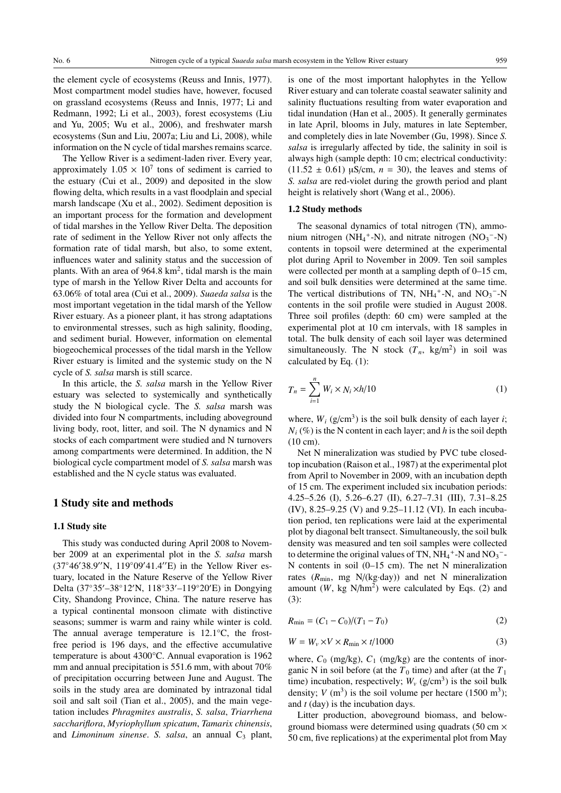the element cycle of ecosystems (Reuss and Innis, 1977). Most compartment model studies have, however, focused on grassland ecosystems (Reuss and Innis, 1977; Li and Redmann, 1992; Li et al., 2003), forest ecosystems (Liu and Yu, 2005; Wu et al., 2006), and freshwater marsh ecosystems (Sun and Liu, 2007a; Liu and Li, 2008), while information on the N cycle of tidal marshes remains scarce.

The Yellow River is a sediment-laden river. Every year, approximately  $1.05 \times 10^7$  tons of sediment is carried to the estuary (Cui et al., 2009) and deposited in the slow flowing delta, which results in a vast floodplain and special marsh landscape (Xu et al., 2002). Sediment deposition is an important process for the formation and development of tidal marshes in the Yellow River Delta. The deposition rate of sediment in the Yellow River not only affects the formation rate of tidal marsh, but also, to some extent, influences water and salinity status and the succession of plants. With an area of  $964.8 \text{ km}^2$ , tidal marsh is the main type of marsh in the Yellow River Delta and accounts for 63.06% of total area (Cui et al., 2009). *Suaeda salsa* is the most important vegetation in the tidal marsh of the Yellow River estuary. As a pioneer plant, it has strong adaptations to environmental stresses, such as high salinity, flooding, and sediment burial. However, information on elemental biogeochemical processes of the tidal marsh in the Yellow River estuary is limited and the systemic study on the N cycle of *S. salsa* marsh is still scarce.

In this article, the *S. salsa* marsh in the Yellow River estuary was selected to systemically and synthetically study the N biological cycle. The *S. salsa* marsh was divided into four N compartments, including aboveground living body, root, litter, and soil. The N dynamics and N stocks of each compartment were studied and N turnovers among compartments were determined. In addition, the N biological cycle compartment model of *S. salsa* marsh was established and the N cycle status was evaluated.

## 1 Study site and methods

#### 1.1 Study site

This study was conducted during April 2008 to November 2009 at an experimental plot in the *S. salsa* marsh (37°46′38.9″N, 119°09′41.4″E) in the Yellow River estuary, located in the Nature Reserve of the Yellow River Delta (37◦35 –38◦12 N, 118◦33 –119◦20 E) in Dongying City, Shandong Province, China. The nature reserve has a typical continental monsoon climate with distinctive seasons; summer is warm and rainy while winter is cold. The annual average temperature is 12.1°C, the frostfree period is 196 days, and the effective accumulative temperature is about 4300°C. Annual evaporation is 1962 mm and annual precipitation is 551.6 mm, with about 70% of precipitation occurring between June and August. The soils in the study area are dominated by intrazonal tidal soil and salt soil (Tian et al., 2005), and the main vegetation includes *Phragmites australis*, *S. salsa*, *Triarrhena sacchariflora*, *Myriophyllum spicatum*, *Tamarix chinensis*, and *Limoninum sinense*. *S. salsa*, an annual C<sub>3</sub> plant,

is one of the most important halophytes in the Yellow River estuary and can tolerate coastal seawater salinity and salinity fluctuations resulting from water evaporation and tidal inundation (Han et al., 2005). It generally germinates in late April, blooms in July, matures in late September, and completely dies in late November (Gu, 1998). Since *S. salsa* is irregularly affected by tide, the salinity in soil is always high (sample depth: 10 cm; electrical conductivity:  $(11.52 \pm 0.61)$   $\mu$ S/cm,  $n = 30$ ), the leaves and stems of *S. salsa* are red-violet during the growth period and plant height is relatively short (Wang et al., 2006).

#### 1.2 Study methods

The seasonal dynamics of total nitrogen (TN), ammonium nitrogen (NH<sub>4</sub><sup>+</sup>-N), and nitrate nitrogen (NO<sub>3</sub><sup>-</sup>-N) contents in topsoil were determined at the experimental plot during April to November in 2009. Ten soil samples were collected per month at a sampling depth of 0–15 cm, and soil bulk densities were determined at the same time. The vertical distributions of TN,  $NH_4^+$ -N, and  $NO_3^-$ -N contents in the soil profile were studied in August 2008. Three soil profiles (depth: 60 cm) were sampled at the experimental plot at 10 cm intervals, with 18 samples in total. The bulk density of each soil layer was determined simultaneously. The N stock  $(T_n, \text{ kg/m}^2)$  in soil was calculated by Eq. (1):

$$
T_n = \sum_{i=1}^n W_i \times N_i \times h/10
$$
 (1)

where,  $W_i$  (g/cm<sup>3</sup>) is the soil bulk density of each layer *i*;  $N_i$  (%) is the N content in each layer; and *h* is the soil depth (10 cm).

Net N mineralization was studied by PVC tube closedtop incubation (Raison et al., 1987) at the experimental plot from April to November in 2009, with an incubation depth of 15 cm. The experiment included six incubation periods: 4.25–5.26 (I), 5.26–6.27 (II), 6.27–7.31 (III), 7.31–8.25 (IV), 8.25–9.25 (V) and 9.25–11.12 (VI). In each incubation period, ten replications were laid at the experimental plot by diagonal belt transect. Simultaneously, the soil bulk density was measured and ten soil samples were collected to determine the original values of TN,  $NH_4$ <sup>+</sup>-N and  $NO_3$ <sup>-</sup>-N contents in soil (0–15 cm). The net N mineralization rates  $(R_{\text{min}}$ , mg N/(kg·day)) and net N mineralization amount  $(W, \text{ kg } N/hm^2)$  were calculated by Eqs. (2) and (3):

$$
R_{\min} = (C_1 - C_0)/(T_1 - T_0) \tag{2}
$$

$$
W = W_v \times V \times R_{\min} \times t/1000
$$
 (3)

where,  $C_0$  (mg/kg),  $C_1$  (mg/kg) are the contents of inorganic N in soil before (at the  $T_0$  time) and after (at the  $T_1$ time) incubation, respectively;  $W_v$  (g/cm<sup>3</sup>) is the soil bulk density; *V* ( $m<sup>3</sup>$ ) is the soil volume per hectare (1500  $m<sup>3</sup>$ ); and *t* (day) is the incubation days.

Litter production, aboveground biomass, and belowground biomass were determined using quadrats (50 cm × 50 cm, five replications) at the experimental plot from May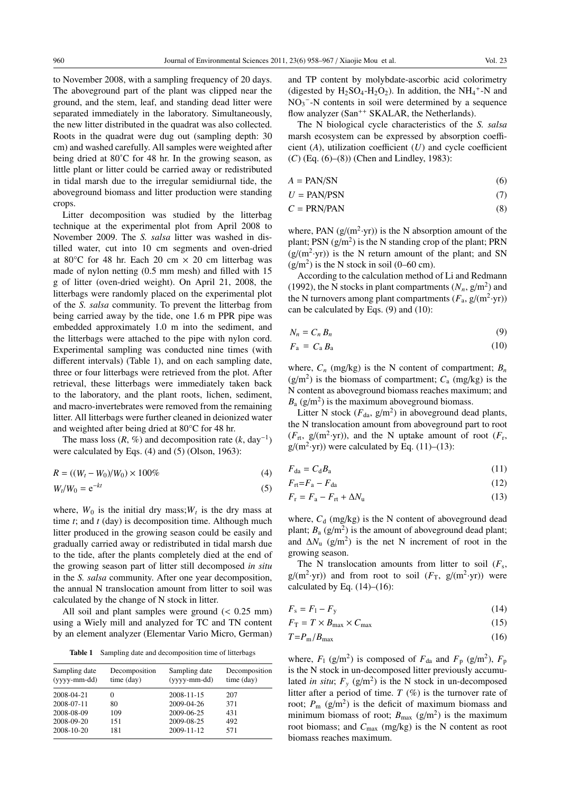to November 2008, with a sampling frequency of 20 days. The aboveground part of the plant was clipped near the ground, and the stem, leaf, and standing dead litter were separated immediately in the laboratory. Simultaneously, the new litter distributed in the quadrat was also collected. Roots in the quadrat were dug out (sampling depth: 30 cm) and washed carefully. All samples were weighted after being dried at 80˚C for 48 hr. In the growing season, as little plant or litter could be carried away or redistributed in tidal marsh due to the irregular semidiurnal tide, the aboveground biomass and litter production were standing crops.

Litter decomposition was studied by the litterbag technique at the experimental plot from April 2008 to November 2009. The *S. salsa* litter was washed in distilled water, cut into 10 cm segments and oven-dried at 80 $\degree$ C for 48 hr. Each 20 cm  $\times$  20 cm litterbag was made of nylon netting (0.5 mm mesh) and filled with 15 g of litter (oven-dried weight). On April 21, 2008, the litterbags were randomly placed on the experimental plot of the *S. salsa* community. To prevent the litterbag from being carried away by the tide, one 1.6 m PPR pipe was embedded approximately 1.0 m into the sediment, and the litterbags were attached to the pipe with nylon cord. Experimental sampling was conducted nine times (with different intervals) (Table 1), and on each sampling date, three or four litterbags were retrieved from the plot. After retrieval, these litterbags were immediately taken back to the laboratory, and the plant roots, lichen, sediment, and macro-invertebrates were removed from the remaining litter. All litterbags were further cleaned in deionized water and weighted after being dried at 80°C for 48 hr.

The mass loss  $(R, \%)$  and decomposition rate  $(k, day^{-1})$ were calculated by Eqs. (4) and (5) (Olson, 1963):

$$
R = ((W_t - W_0)/W_0) \times 100\% \tag{4}
$$

$$
W_t/W_0 = e^{-kt} \tag{5}
$$

where,  $W_0$  is the initial dry mass; $W_t$  is the dry mass at time *t*; and *t* (day) is decomposition time. Although much litter produced in the growing season could be easily and gradually carried away or redistributed in tidal marsh due to the tide, after the plants completely died at the end of the growing season part of litter still decomposed *in situ* in the *S. salsa* community. After one year decomposition, the annual N translocation amount from litter to soil was calculated by the change of N stock in litter.

All soil and plant samples were ground (< 0.25 mm) using a Wiely mill and analyzed for TC and TN content by an element analyzer (Elementar Vario Micro, German)

Table 1 Sampling date and decomposition time of litterbags

| Sampling date<br>$(yyyy-mm-dd)$ | Decomposition<br>time (day) | Sampling date<br>$(yyyymm-dd)$ | Decomposition<br>$time$ (day) |
|---------------------------------|-----------------------------|--------------------------------|-------------------------------|
| 2008-04-21                      | 0                           | 2008-11-15                     | 207                           |
| 2008-07-11                      | 80                          | 2009-04-26                     | 371                           |
| 2008-08-09                      | 109                         | 2009-06-25                     | 431                           |
| 2008-09-20                      | 151                         | 2009-08-25                     | 492                           |
| 2008-10-20                      | 181                         | 2009-11-12                     | 571                           |
|                                 |                             |                                |                               |

and TP content by molybdate-ascorbic acid colorimetry (digested by  $H_2SO_4-H_2O_2$ ). In addition, the NH<sub>4</sub><sup>+</sup>-N and  $NO<sub>3</sub><sup>-</sup>-N$  contents in soil were determined by a sequence flow analyzer (San<sup>++</sup> SKALAR, the Netherlands).

The N biological cycle characteristics of the *S. salsa* marsh ecosystem can be expressed by absorption coefficient (*A*), utilization coefficient (*U*) and cycle coefficient (*C*) (Eq. (6)–(8)) (Chen and Lindley, 1983):

$$
A = PAN/SN \tag{6}
$$

$$
U = \text{PAN/PSN} \tag{7}
$$

$$
C = \text{PRN}/\text{PAN} \tag{8}
$$

where, PAN  $(g/(m^2 \cdot yr))$  is the N absorption amount of the plant; PSN  $(g/m^2)$  is the N standing crop of the plant; PRN  $(g/(m^2 \text{·yr}))$  is the N return amount of the plant; and SN  $(g/m<sup>2</sup>)$  is the N stock in soil (0–60 cm).

According to the calculation method of Li and Redmann (1992), the N stocks in plant compartments  $(N_n, g/m^2)$  and the N turnovers among plant compartments  $(F_a, g/(m^2 \cdot yr))$ can be calculated by Eqs. (9) and (10):

$$
N_n = C_n B_n \tag{9}
$$

$$
F_{\rm a} = C_{\rm a} B_{\rm a} \tag{10}
$$

where,  $C_n$  (mg/kg) is the N content of compartment;  $B_n$  $(g/m^2)$  is the biomass of compartment;  $C_a$  (mg/kg) is the N content as aboveground biomass reaches maximum; and  $B<sub>a</sub>$  (g/m<sup>2</sup>) is the maximum aboveground biomass.

Litter N stock  $(F_{da}, g/m^2)$  in aboveground dead plants, the N translocation amount from aboveground part to root  $(F_{\text{rt}}, g/(\text{m}^2 \cdot \text{yr}))$ , and the N uptake amount of root  $(F_{\text{r}}, g/(\text{m}^2 \cdot \text{yr}))$  $g/(m^2 \cdot yr)$ ) were calculated by Eq. (11)–(13):

$$
F_{\rm da} = C_{\rm d} B_{\rm a} \tag{11}
$$

$$
F_{\rm rt} = F_{\rm a} - F_{\rm da} \tag{12}
$$

$$
F_{\rm r} = F_{\rm a} - F_{\rm rt} + \Delta N_{\rm u} \tag{13}
$$

where,  $C_d$  (mg/kg) is the N content of aboveground dead plant;  $B_a$  (g/m<sup>2</sup>) is the amount of aboveground dead plant; and  $\Delta N_{\text{u}}$  (g/m<sup>2</sup>) is the net N increment of root in the growing season.

The N translocation amounts from litter to soil  $(F_s)$ ,  $g/(m^2 \text{·yr})$  and from root to soil  $(F_T, g/(m^2 \text{·yr}))$  were calculated by Eq.  $(14)$ – $(16)$ :

$$
F_s = F_1 - F_y \tag{14}
$$

$$
F_{\rm T} = T \times B_{\rm max} \times C_{\rm max} \tag{15}
$$

$$
T = P_{\rm m}/B_{\rm max} \tag{16}
$$

where,  $F_1$  (g/m<sup>2</sup>) is composed of  $F_{da}$  and  $F_p$  (g/m<sup>2</sup>),  $F_p$ is the N stock in un-decomposed litter previously accumulated *in situ*;  $F_y$  (g/m<sup>2</sup>) is the N stock in un-decomposed litter after a period of time. *T* (%) is the turnover rate of root;  $P_m$  (g/m<sup>2</sup>) is the deficit of maximum biomass and minimum biomass of root;  $B_{\text{max}}$  (g/m<sup>2</sup>) is the maximum root biomass; and  $C_{\text{max}}$  (mg/kg) is the N content as root biomass reaches maximum.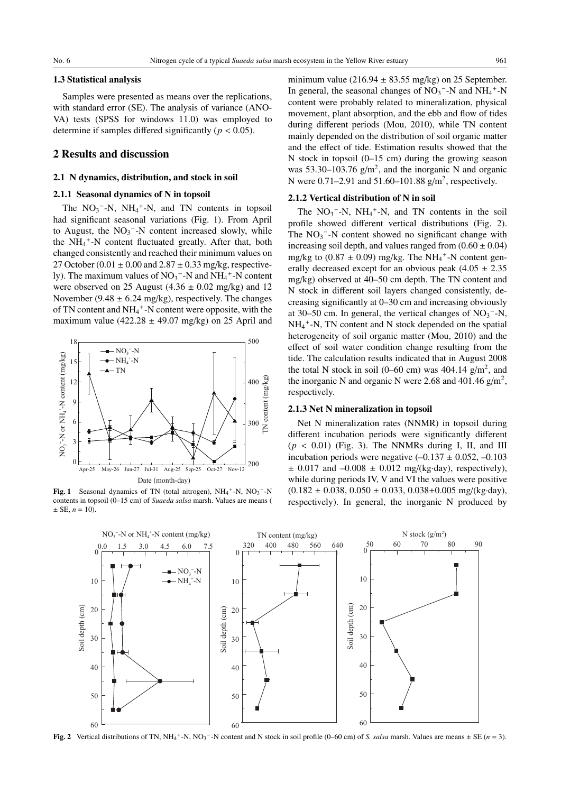## 1.3 Statistical analysis

Samples were presented as means over the replications, with standard error (SE). The analysis of variance (ANO-VA) tests (SPSS for windows 11.0) was employed to determine if samples differed significantly ( $p < 0.05$ ).

# 2 Results and discussion

#### 2.1 N dynamics, distribution, and stock in soil

# 2.1.1 Seasonal dynamics of N in topsoil

The  $NO_3^-$ -N, NH<sub>4</sub><sup>+</sup>-N, and TN contents in topsoil had significant seasonal variations (Fig. 1). From April to August, the  $NO<sub>3</sub><sup>-</sup>-N$  content increased slowly, while the NH4 <sup>+</sup>-N content fluctuated greatly. After that, both changed consistently and reached their minimum values on 27 October (0.01  $\pm$  0.00 and 2.87  $\pm$  0.33 mg/kg, respectively). The maximum values of  $NO_3^-$ -N and  $NH_4^+$ -N content were observed on 25 August (4.36  $\pm$  0.02 mg/kg) and 12 November (9.48  $\pm$  6.24 mg/kg), respectively. The changes of TN content and NH<sub>4</sub><sup>+</sup>-N content were opposite, with the maximum value (422.28  $\pm$  49.07 mg/kg) on 25 April and



Fig. 1 Seasonal dynamics of TN (total nitrogen),  $NH_4^+$ -N,  $NO_3^-$ -N contents in topsoil (0–15 cm) of *Suaeda salsa* marsh. Values are means (  $\pm$  SE,  $n = 10$ ).

minimum value ( $216.94 \pm 83.55$  mg/kg) on 25 September. In general, the seasonal changes of  $NO<sub>3</sub>^-$ -N and  $NH<sub>4</sub>^+$ -N content were probably related to mineralization, physical movement, plant absorption, and the ebb and flow of tides during different periods (Mou, 2010), while TN content mainly depended on the distribution of soil organic matter and the effect of tide. Estimation results showed that the N stock in topsoil (0–15 cm) during the growing season was 53.30–103.76  $g/m^2$ , and the inorganic N and organic N were 0.71–2.91 and 51.60–101.88 g/m2, respectively.

### 2.1.2 Vertical distribution of N in soil

The  $NO_3^-$ -N, NH<sub>4</sub><sup>+</sup>-N, and TN contents in the soil profile showed different vertical distributions (Fig. 2). The  $NO<sub>3</sub><sup>-</sup>-N$  content showed no significant change with increasing soil depth, and values ranged from  $(0.60 \pm 0.04)$ mg/kg to  $(0.87 \pm 0.09)$  mg/kg. The NH<sub>4</sub><sup>+</sup>-N content generally decreased except for an obvious peak  $(4.05 \pm 2.35)$ mg/kg) observed at 40–50 cm depth. The TN content and N stock in different soil layers changed consistently, decreasing significantly at 0–30 cm and increasing obviously at 30–50 cm. In general, the vertical changes of  $NO<sub>3</sub>^-$ -N, NH4 <sup>+</sup>-N, TN content and N stock depended on the spatial heterogeneity of soil organic matter (Mou, 2010) and the effect of soil water condition change resulting from the tide. The calculation results indicated that in August 2008 the total N stock in soil (0–60 cm) was  $404.14$  g/m<sup>2</sup>, and the inorganic N and organic N were 2.68 and 401.46  $g/m^2$ , respectively.

## 2.1.3 Net N mineralization in topsoil

Net N mineralization rates (NNMR) in topsoil during different incubation periods were significantly different  $(p < 0.01)$  (Fig. 3). The NNMRs during I, II, and III incubation periods were negative  $(-0.137 \pm 0.052, -0.103$  $\pm$  0.017 and  $-0.008 \pm 0.012$  mg/(kg·day), respectively), while during periods IV, V and VI the values were positive  $(0.182 \pm 0.038, 0.050 \pm 0.033, 0.038 \pm 0.005 \text{ mg/(kg-day)}),$ respectively). In general, the inorganic N produced by



Fig. 2 Vertical distributions of TN, NH<sub>4</sub><sup>+</sup>-N, NO<sub>3</sub><sup>-</sup>-N content and N stock in soil profile (0–60 cm) of *S. salsa* marsh. Values are means  $\pm$  SE (*n* = 3).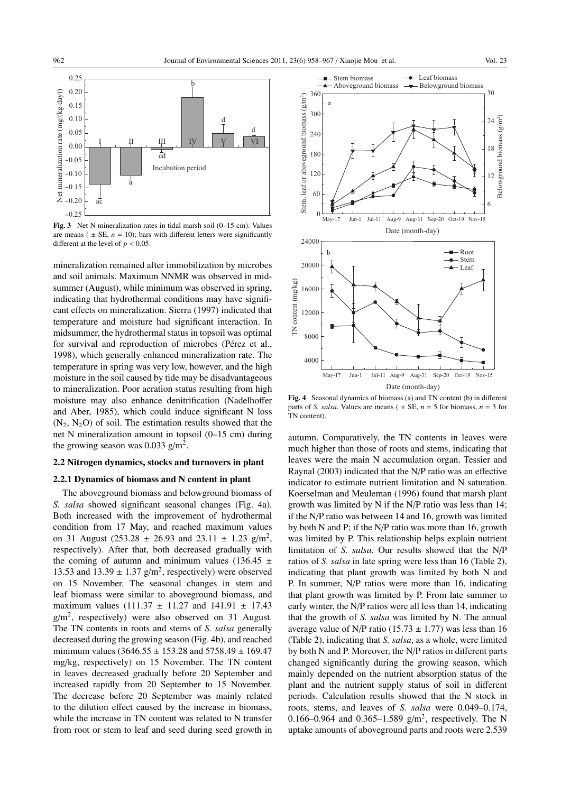

Fig. 3 Net N mineralization rates in tidal marsh soil (0–15 cm). Values are means ( $\pm$  SE,  $n = 10$ ); bars with different letters were significantly different at the level of  $p < 0.05$ .

mineralization remained after immobilization by microbes and soil animals. Maximum NNMR was observed in midsummer (August), while minimum was observed in spring, indicating that hydrothermal conditions may have significant effects on mineralization. Sierra (1997) indicated that temperature and moisture had significant interaction. In midsummer, the hydrothermal status in topsoil was optimal for survival and reproduction of microbes (Pérez et al., 1998), which generally enhanced mineralization rate. The temperature in spring was very low, however, and the high moisture in the soil caused by tide may be disadvantageous to mineralization. Poor aeration status resulting from high moisture may also enhance denitrification (Nadelhoffer and Aber, 1985), which could induce significant N loss  $(N_2, N_2O)$  of soil. The estimation results showed that the net N mineralization amount in topsoil (0–15 cm) during the growing season was  $0.033$  g/m<sup>2</sup>.

## 2.2 Nitrogen dynamics, stocks and turnovers in plant

#### 2.2.1 Dynamics of biomass and N content in plant

The aboveground biomass and belowground biomass of *S. salsa* showed significant seasonal changes (Fig. 4a). Both increased with the improvement of hydrothermal condition from 17 May, and reached maximum values on 31 August (253.28  $\pm$  26.93 and 23.11  $\pm$  1.23 g/m<sup>2</sup>, respectively). After that, both decreased gradually with the coming of autumn and minimum values (136.45  $\pm$ 13.53 and 13.39  $\pm$  1.37 g/m<sup>2</sup>, respectively) were observed on 15 November. The seasonal changes in stem and leaf biomass were similar to aboveground biomass, and maximum values (111.37  $\pm$  11.27 and 141.91  $\pm$  17.43  $g/m<sup>2</sup>$ , respectively) were also observed on 31 August. The TN contents in roots and stems of *S. salsa* generally decreased during the growing season (Fig. 4b), and reached minimum values (3646.55  $\pm$  153.28 and 5758.49  $\pm$  169.47 mg/kg, respectively) on 15 November. The TN content in leaves decreased gradually before 20 September and increased rapidly from 20 September to 15 November. The decrease before 20 September was mainly related to the dilution effect caused by the increase in biomass, while the increase in TN content was related to N transfer from root or stem to leaf and seed during seed growth in



Fig. 4 Seasonal dynamics of biomass (a) and TN content (b) in different parts of *S. salsa*. Values are means ( $\pm$  SE, *n* = 5 for biomass, *n* = 3 for TN content).

autumn. Comparatively, the TN contents in leaves were much higher than those of roots and stems, indicating that leaves were the main N accumulation organ. Tessier and Raynal (2003) indicated that the N/P ratio was an effective indicator to estimate nutrient limitation and N saturation. Koerselman and Meuleman (1996) found that marsh plant growth was limited by N if the N/P ratio was less than 14; if the N/P ratio was between 14 and 16, growth was limited by both N and P; if the N/P ratio was more than 16, growth was limited by P. This relationship helps explain nutrient limitation of *S. salsa*. Our results showed that the N/P ratios of *S. salsa* in late spring were less than 16 (Table 2), indicating that plant growth was limited by both N and P. In summer, N/P ratios were more than 16, indicating that plant growth was limited by P. From late summer to early winter, the N/P ratios were all less than 14, indicating that the growth of *S. salsa* was limited by N. The annual average value of N/P ratio (15.73  $\pm$  1.77) was less than 16 (Table 2), indicating that *S. salsa*, as a whole, were limited by both N and P. Moreover, the N/P ratios in different parts changed significantly during the growing season, which mainly depended on the nutrient absorption status of the plant and the nutrient supply status of soil in different periods. Calculation results showed that the N stock in roots, stems, and leaves of *S. salsa* were 0.049–0.174, 0.166–0.964 and 0.365–1.589  $g/m^2$ , respectively. The N uptake amounts of aboveground parts and roots were 2.539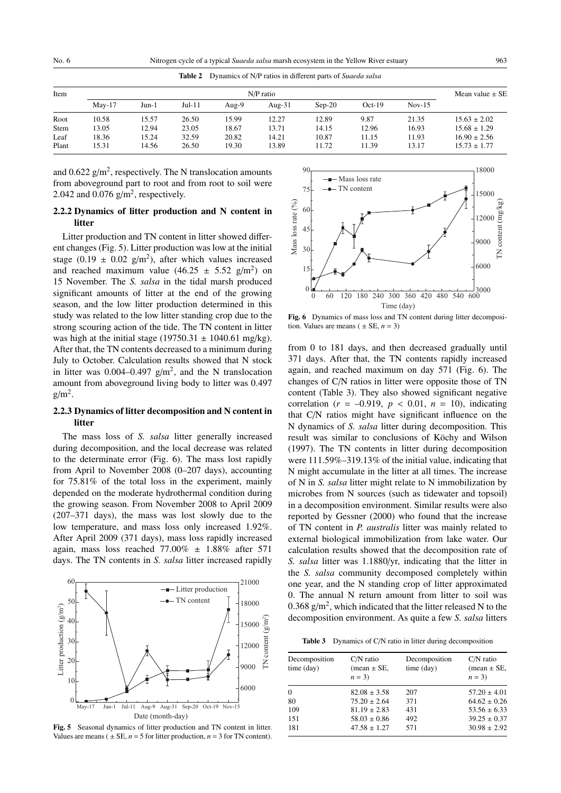|  | <b>Table 2</b> Dynamics of N/P ratios in different parts of Suaeda salsa |  |  |  |
|--|--------------------------------------------------------------------------|--|--|--|
|--|--------------------------------------------------------------------------|--|--|--|

| Item  |          | $N/P$ ratio |        |       |           |          |          |          |                  |  |
|-------|----------|-------------|--------|-------|-----------|----------|----------|----------|------------------|--|
|       | $Mav-17$ | Jun-1       | Jul-11 | Aug-9 | Aug- $31$ | $Sep-20$ | $Oct-19$ | $Nov-15$ |                  |  |
| Root  | 10.58    | 15.57       | 26.50  | 15.99 | 12.27     | 12.89    | 9.87     | 21.35    | $15.63 \pm 2.02$ |  |
| Stem  | 13.05    | 12.94       | 23.05  | 18.67 | 13.71     | 14.15    | 12.96    | 16.93    | $15.68 \pm 1.29$ |  |
| Leaf  | 18.36    | 15.24       | 32.59  | 20.82 | 14.21     | 10.87    | 11.15    | 11.93    | $16.90 \pm 2.56$ |  |
| Plant | 15.31    | 14.56       | 26.50  | 19.30 | 13.89     | 11.72    | 11.39    | 13.17    | $15.73 \pm 1.77$ |  |

and  $0.622$  g/m<sup>2</sup>, respectively. The N translocation amounts from aboveground part to root and from root to soil were 2.042 and 0.076  $g/m^2$ , respectively.

# 2.2.2 Dynamics of litter production and N content in litter

Litter production and TN content in litter showed different changes (Fig. 5). Litter production was low at the initial stage (0.19  $\pm$  0.02 g/m<sup>2</sup>), after which values increased and reached maximum value  $(46.25 \pm 5.52 \text{ g/m}^2)$  on 15 November. The *S. salsa* in the tidal marsh produced significant amounts of litter at the end of the growing season, and the low litter production determined in this study was related to the low litter standing crop due to the strong scouring action of the tide. The TN content in litter was high at the initial stage (19750.31  $\pm$  1040.61 mg/kg). After that, the TN contents decreased to a minimum during July to October. Calculation results showed that N stock in litter was 0.004–0.497  $g/m^2$ , and the N translocation amount from aboveground living body to litter was 0.497  $g/m<sup>2</sup>$ .

## 2.2.3 Dynamics of litter decomposition and N content in litter

The mass loss of *S. salsa* litter generally increased during decomposition, and the local decrease was related to the determinate error (Fig. 6). The mass lost rapidly from April to November 2008 (0–207 days), accounting for 75.81% of the total loss in the experiment, mainly depended on the moderate hydrothermal condition during the growing season. From November 2008 to April 2009 (207–371 days), the mass was lost slowly due to the low temperature, and mass loss only increased 1.92%. After April 2009 (371 days), mass loss rapidly increased again, mass loss reached 77.00% ± 1.88% after 571 days. The TN contents in *S. salsa* litter increased rapidly



Fig. 5 Seasonal dynamics of litter production and TN content in litter. Values are means ( $\pm$  SE,  $n = 5$  for litter production,  $n = 3$  for TN content).



Fig. 6 Dynamics of mass loss and TN content during litter decomposition. Values are means  $( \pm SE, n = 3)$ 

from 0 to 181 days, and then decreased gradually until 371 days. After that, the TN contents rapidly increased again, and reached maximum on day 571 (Fig. 6). The changes of C/N ratios in litter were opposite those of TN content (Table 3). They also showed significant negative correlation ( $r = -0.919$ ,  $p < 0.01$ ,  $n = 10$ ), indicating that C/N ratios might have significant influence on the N dynamics of *S. salsa* litter during decomposition. This result was similar to conclusions of Köchy and Wilson (1997). The TN contents in litter during decomposition were 111.59%–319.13% of the initial value, indicating that N might accumulate in the litter at all times. The increase of N in *S. salsa* litter might relate to N immobilization by microbes from N sources (such as tidewater and topsoil) in a decomposition environment. Similar results were also reported by Gessner (2000) who found that the increase of TN content in *P. australis* litter was mainly related to external biological immobilization from lake water. Our calculation results showed that the decomposition rate of *S. salsa* litter was 1.1880/yr, indicating that the litter in the *S. salsa* community decomposed completely within one year, and the N standing crop of litter approximated 0. The annual N return amount from litter to soil was 0.368  $g/m<sup>2</sup>$ , which indicated that the litter released N to the decomposition environment. As quite a few *S. salsa* litters

Table 3 Dynamics of C/N ratio in litter during decomposition

| Decomposition<br>time (day) | $C/N$ ratio<br>$(\text{mean} \pm \text{SE})$<br>$n=3$ | Decomposition<br>time (day) | $C/N$ ratio<br>$(\text{mean} \pm \text{SE})$<br>$n=3$ |
|-----------------------------|-------------------------------------------------------|-----------------------------|-------------------------------------------------------|
| $\Omega$                    | $82.08 \pm 3.58$                                      | 207                         | $57.20 \pm 4.01$                                      |
| 80                          | $75.20 \pm 2.64$                                      | 371                         | $64.62 \pm 0.26$                                      |
| 109                         | $81.19 \pm 2.83$                                      | 431                         | $53.56 \pm 6.33$                                      |
| 151                         | $58.03 \pm 0.86$                                      | 492                         | $39.25 \pm 0.37$                                      |
| 181                         | $47.58 \pm 1.27$                                      | 571                         | $30.98 \pm 2.92$                                      |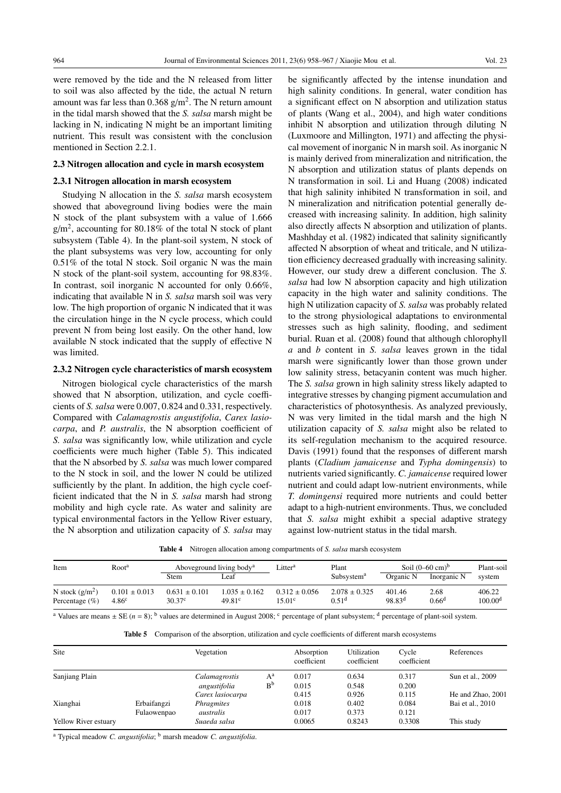were removed by the tide and the N released from litter to soil was also affected by the tide, the actual N return amount was far less than  $0.368$  g/m<sup>2</sup>. The N return amount in the tidal marsh showed that the *S. salsa* marsh might be lacking in N, indicating N might be an important limiting nutrient. This result was consistent with the conclusion mentioned in Section 2.2.1.

#### 2.3 Nitrogen allocation and cycle in marsh ecosystem

#### 2.3.1 Nitrogen allocation in marsh ecosystem

Studying N allocation in the *S. salsa* marsh ecosystem showed that aboveground living bodies were the main N stock of the plant subsystem with a value of 1.666  $g/m<sup>2</sup>$ , accounting for 80.18% of the total N stock of plant subsystem (Table 4). In the plant-soil system, N stock of the plant subsystems was very low, accounting for only 0.51% of the total N stock. Soil organic N was the main N stock of the plant-soil system, accounting for 98.83%. In contrast, soil inorganic N accounted for only 0.66%, indicating that available N in *S. salsa* marsh soil was very low. The high proportion of organic N indicated that it was the circulation hinge in the N cycle process, which could prevent N from being lost easily. On the other hand, low available N stock indicated that the supply of effective N was limited.

## 2.3.2 Nitrogen cycle characteristics of marsh ecosystem

Nitrogen biological cycle characteristics of the marsh showed that N absorption, utilization, and cycle coefficients of *S. salsa* were 0.007, 0.824 and 0.331, respectively. Compared with *Calamagrostis angustifolia*, *Carex lasiocarpa*, and *P. australis*, the N absorption coefficient of *S. salsa* was significantly low, while utilization and cycle coefficients were much higher (Table 5). This indicated that the N absorbed by *S. salsa* was much lower compared to the N stock in soil, and the lower N could be utilized sufficiently by the plant. In addition, the high cycle coefficient indicated that the N in *S. salsa* marsh had strong mobility and high cycle rate. As water and salinity are typical environmental factors in the Yellow River estuary, the N absorption and utilization capacity of *S. salsa* may

be significantly affected by the intense inundation and high salinity conditions. In general, water condition has a significant effect on N absorption and utilization status of plants (Wang et al., 2004), and high water conditions inhibit N absorption and utilization through diluting N (Luxmoore and Millington, 1971) and affecting the physical movement of inorganic N in marsh soil. As inorganic N is mainly derived from mineralization and nitrification, the N absorption and utilization status of plants depends on N transformation in soil. Li and Huang (2008) indicated that high salinity inhibited N transformation in soil, and N mineralization and nitrification potential generally decreased with increasing salinity. In addition, high salinity also directly affects N absorption and utilization of plants. Mashhday et al. (1982) indicated that salinity significantly affected N absorption of wheat and triticale, and N utilization efficiency decreased gradually with increasing salinity. However, our study drew a different conclusion. The *S. salsa* had low N absorption capacity and high utilization capacity in the high water and salinity conditions. The high N utilization capacity of *S. salsa* was probably related to the strong physiological adaptations to environmental stresses such as high salinity, flooding, and sediment burial. Ruan et al. (2008) found that although chlorophyll *a* and *b* content in *S. salsa* leaves grown in the tidal marsh were significantly lower than those grown under low salinity stress, betacyanin content was much higher. The *S. salsa* grown in high salinity stress likely adapted to integrative stresses by changing pigment accumulation and characteristics of photosynthesis. As analyzed previously, N was very limited in the tidal marsh and the high N utilization capacity of *S. salsa* might also be related to its self-regulation mechanism to the acquired resource. Davis (1991) found that the responses of different marsh plants (*Cladium jamaicense* and *Typha domingensis*) to nutrients varied significantly. *C. jamaicense* required lower nutrient and could adapt low-nutrient environments, while *T. domingensi* required more nutrients and could better adapt to a high-nutrient environments. Thus, we concluded that *S. salsa* might exhibit a special adaptive strategy against low-nutrient status in the tidal marsh.

Table 4 Nitrogen allocation among compartments of *S. salsa* marsh ecosystem

| Item                                    | Root <sup>a</sup>                      | Aboveground living body <sup>a</sup> |                                         | Litter <sup>a</sup>                     | Plant                                  | Soil $(0-60 \text{ cm})^6$   |                           | Plant-soil           |
|-----------------------------------------|----------------------------------------|--------------------------------------|-----------------------------------------|-----------------------------------------|----------------------------------------|------------------------------|---------------------------|----------------------|
|                                         |                                        | <b>Stem</b>                          | Leaf                                    |                                         | Subsystem <sup>a</sup>                 | Organic N                    | Inorganic N               | system               |
| N stock $(g/m^2)$<br>Percentage $(\% )$ | $0.101 \pm 0.013$<br>4.86 <sup>c</sup> | $0.631 \pm 0.101$<br>$30.37^{\circ}$ | $1.035 \pm 0.162$<br>49.81 <sup>c</sup> | $0.312 \pm 0.056$<br>15.01 <sup>c</sup> | $2.078 \pm 0.325$<br>0.51 <sup>d</sup> | 401.46<br>98.83 <sup>d</sup> | 2.68<br>0.66 <sup>d</sup> | 406.22<br>$100.00^d$ |

<sup>a</sup> Values are means  $\pm$  SE ( $n = 8$ ); <sup>b</sup> values are determined in August 2008; <sup>c</sup> percentage of plant subsystem; <sup>d</sup> percentage of plant-soil system.

|  |  |  |  | <b>Table 5</b> Comparison of the absorption, utilization and cycle coefficients of different marsh ecosystems |  |  |
|--|--|--|--|---------------------------------------------------------------------------------------------------------------|--|--|
|--|--|--|--|---------------------------------------------------------------------------------------------------------------|--|--|

| Site<br>Sanjiang Plain |             | Vegetation        | Absorption<br>coefficient |        | Utilization<br>coefficient | Cycle<br>coefficient | References        |
|------------------------|-------------|-------------------|---------------------------|--------|----------------------------|----------------------|-------------------|
|                        |             | Calamagrostis     | $A^a$                     | 0.017  | 0.634                      | 0.317                | Sun et al., 2009  |
|                        |             | angustifolia      | B <sup>b</sup>            | 0.015  | 0.548                      | 0.200                |                   |
|                        |             | Carex lasiocarpa  |                           | 0.415  | 0.926                      | 0.115                | He and Zhao, 2001 |
| Xianghai               | Erbaifangzi | <b>Phragmites</b> |                           | 0.018  | 0.402                      | 0.084                | Bai et al., 2010  |
|                        | Fulaowenpao | australis         |                           | 0.017  | 0.373                      | 0.121                |                   |
| Yellow River estuary   |             | Suaeda salsa      |                           | 0.0065 | 0.8243                     | 0.3308               | This study        |

<sup>a</sup> Typical meadow *C. angustifolia*; <sup>b</sup> marsh meadow *C. angustifolia*.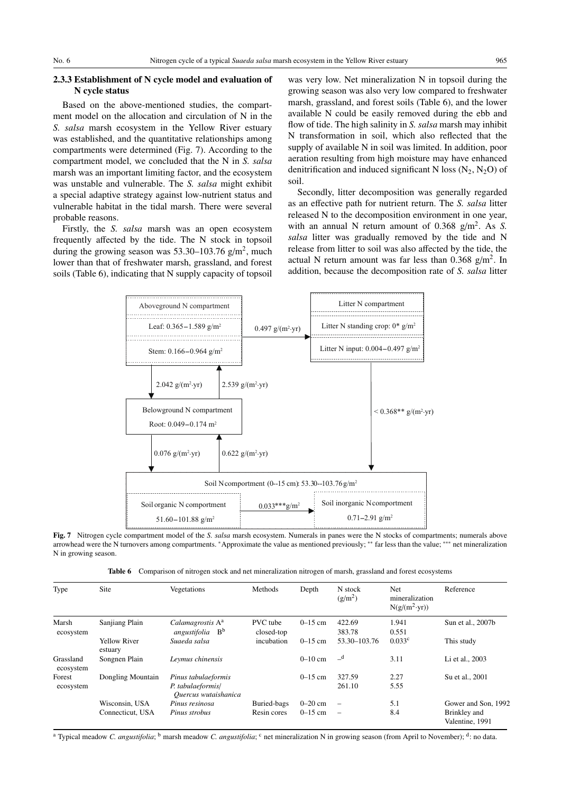# 2.3.3 Establishment of N cycle model and evaluation of N cycle status

Based on the above-mentioned studies, the compartment model on the allocation and circulation of N in the *S. salsa* marsh ecosystem in the Yellow River estuary was established, and the quantitative relationships among compartments were determined (Fig. 7). According to the compartment model, we concluded that the N in *S. salsa* marsh was an important limiting factor, and the ecosystem was unstable and vulnerable. The *S. salsa* might exhibit a special adaptive strategy against low-nutrient status and vulnerable habitat in the tidal marsh. There were several probable reasons.

Firstly, the *S. salsa* marsh was an open ecosystem frequently affected by the tide. The N stock in topsoil during the growing season was  $53.30-103.76$  g/m<sup>2</sup>, much lower than that of freshwater marsh, grassland, and forest soils (Table 6), indicating that N supply capacity of topsoil

was very low. Net mineralization N in topsoil during the growing season was also very low compared to freshwater marsh, grassland, and forest soils (Table 6), and the lower available N could be easily removed during the ebb and flow of tide. The high salinity in *S. salsa* marsh may inhibit N transformation in soil, which also reflected that the supply of available N in soil was limited. In addition, poor aeration resulting from high moisture may have enhanced denitrification and induced significant N loss  $(N_2, N_2O)$  of soil.

Secondly, litter decomposition was generally regarded as an effective path for nutrient return. The *S. salsa* litter released N to the decomposition environment in one year, with an annual N return amount of  $0.368$  g/m<sup>2</sup>. As *S*. *salsa* litter was gradually removed by the tide and N release from litter to soil was also affected by the tide, the actual N return amount was far less than  $0.368$  g/m<sup>2</sup>. In addition, because the decomposition rate of *S. salsa* litter



Fig. 7 Nitrogen cycle compartment model of the *S. salsa* marsh ecosystem. Numerals in panes were the N stocks of compartments; numerals above arrowhead were the N turnovers among compartments. \*Approximate the value as mentioned previously; \*\* far less than the value; \*\*\* net mineralization N in growing season.

Table 6 Comparison of nitrogen stock and net mineralization nitrogen of marsh, grassland and forest ecosystems

| Type                   | Site                           | Vegetations                                                 | Methods                | Depth       | N stock<br>$(g/m^2)$     | Net<br>mineralization<br>$N(g/(m^2 \cdot yr))$ | Reference                       |
|------------------------|--------------------------------|-------------------------------------------------------------|------------------------|-------------|--------------------------|------------------------------------------------|---------------------------------|
| Marsh<br>ecosystem     | Sanjiang Plain                 | Calamagrostis A <sup>a</sup><br>angustifolia B <sup>b</sup> | PVC tube<br>closed-top | $0 - 15$ cm | 422.69<br>383.78         | 1.941<br>0.551                                 | Sun et al., 2007b               |
|                        | <b>Yellow River</b><br>estuary | Suaeda salsa                                                | incubation             | $0 - 15$ cm | 53.30-103.76             | 0.033c                                         | This study                      |
| Grassland<br>ecosystem | Songnen Plain                  | Leymus chinensis                                            |                        | $0-10$ cm   | $-d$                     | 3.11                                           | Li et al., 2003                 |
| Forest                 | Dongling Mountain              | Pinus tabulaeformis                                         |                        | $0-15$ cm   | 327.59                   | 2.27                                           | Su et al., 2001                 |
| ecosystem              |                                | P. tabulaeformis/<br>Ouercus wutaishanica                   |                        |             | 261.10                   | 5.55                                           |                                 |
|                        | Wisconsin, USA                 | Pinus resinosa                                              | Buried-bags            | $0-20$ cm   | $\overline{\phantom{0}}$ | 5.1                                            | Gower and Son, 1992             |
|                        | Connecticut. USA               | Pinus strobus                                               | Resin cores            | $0 - 15$ cm |                          | 8.4                                            | Brinkley and<br>Valentine, 1991 |

<sup>a</sup> Typical meadow *C. angustifolia*; <sup>b</sup> marsh meadow *C. angustifolia*;  $c$  net mineralization N in growing season (from April to November);  $d$ : no data.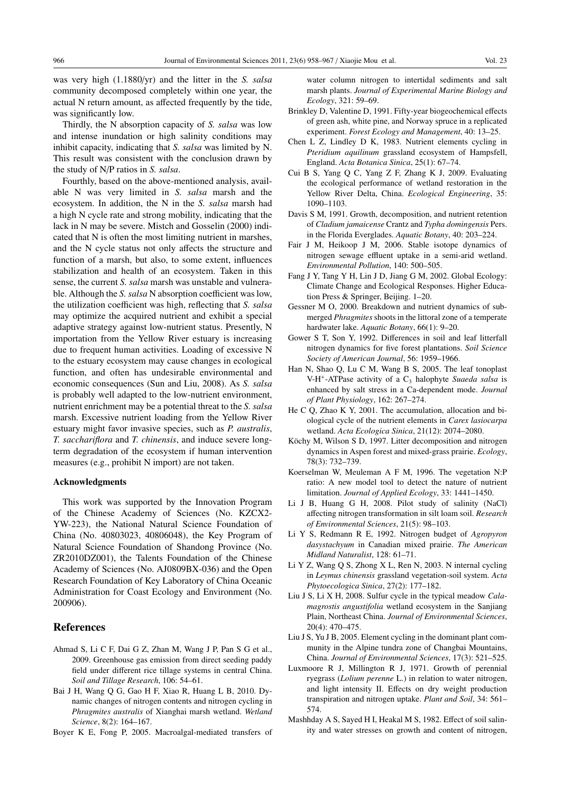was very high (1.1880/yr) and the litter in the *S. salsa* community decomposed completely within one year, the actual N return amount, as affected frequently by the tide, was significantly low.

Thirdly, the N absorption capacity of *S. salsa* was low and intense inundation or high salinity conditions may inhibit capacity, indicating that *S. salsa* was limited by N. This result was consistent with the conclusion drawn by the study of N/P ratios in *S. salsa*.

Fourthly, based on the above-mentioned analysis, available N was very limited in *S. salsa* marsh and the ecosystem. In addition, the N in the *S. salsa* marsh had a high N cycle rate and strong mobility, indicating that the lack in N may be severe. Mistch and Gosselin (2000) indicated that N is often the most limiting nutrient in marshes, and the N cycle status not only affects the structure and function of a marsh, but also, to some extent, influences stabilization and health of an ecosystem. Taken in this sense, the current *S. salsa* marsh was unstable and vulnerable. Although the *S. salsa* N absorption coefficient was low, the utilization coefficient was high, reflecting that *S. salsa* may optimize the acquired nutrient and exhibit a special adaptive strategy against low-nutrient status. Presently, N importation from the Yellow River estuary is increasing due to frequent human activities. Loading of excessive N to the estuary ecosystem may cause changes in ecological function, and often has undesirable environmental and economic consequences (Sun and Liu, 2008). As *S. salsa* is probably well adapted to the low-nutrient environment, nutrient enrichment may be a potential threat to the *S. salsa* marsh. Excessive nutrient loading from the Yellow River estuary might favor invasive species, such as *P. australis*, *T. sacchariflora* and *T. chinensis*, and induce severe longterm degradation of the ecosystem if human intervention measures (e.g., prohibit N import) are not taken.

#### Acknowledgments

This work was supported by the Innovation Program of the Chinese Academy of Sciences (No. KZCX2- YW-223), the National Natural Science Foundation of China (No. 40803023, 40806048), the Key Program of Natural Science Foundation of Shandong Province (No. ZR2010DZ001), the Talents Foundation of the Chinese Academy of Sciences (No. AJ0809BX-036) and the Open Research Foundation of Key Laboratory of China Oceanic Administration for Coast Ecology and Environment (No. 200906).

# References

- Ahmad S, Li C F, Dai G Z, Zhan M, Wang J P, Pan S G et al., 2009. Greenhouse gas emission from direct seeding paddy field under different rice tillage systems in central China. *Soil and Tillage Research*, 106: 54–61.
- Bai J H, Wang Q G, Gao H F, Xiao R, Huang L B, 2010. Dynamic changes of nitrogen contents and nitrogen cycling in *Phragmites australis* of Xianghai marsh wetland. *Wetland Science*, 8(2): 164–167.
- Boyer K E, Fong P, 2005. Macroalgal-mediated transfers of

water column nitrogen to intertidal sediments and salt marsh plants. *Journal of Experimental Marine Biology and Ecology*, 321: 59–69.

- Brinkley D, Valentine D, 1991. Fifty-year biogeochemical effects of green ash, white pine, and Norway spruce in a replicated experiment. *Forest Ecology and Management*, 40: 13–25.
- Chen L Z, Lindley D K, 1983. Nutrient elements cycling in *Pteridium aquilinum* grassland ecosystem of Hampsfell, England. *Acta Botanica Sinica*, 25(1): 67–74.
- Cui B S, Yang Q C, Yang Z F, Zhang K J, 2009. Evaluating the ecological performance of wetland restoration in the Yellow River Delta, China. *Ecological Engineering*, 35: 1090–1103.
- Davis S M, 1991. Growth, decomposition, and nutrient retention of *Cladium jamaicense* Crantz and *Typha domingensis* Pers. in the Florida Everglades. *Aquatic Botany*, 40: 203–224.
- Fair J M, Heikoop J M, 2006. Stable isotope dynamics of nitrogen sewage effluent uptake in a semi-arid wetland. *Environmental Pollution*, 140: 500–505.
- Fang J Y, Tang Y H, Lin J D, Jiang G M, 2002. Global Ecology: Climate Change and Ecological Responses. Higher Education Press & Springer, Beijing. 1–20.
- Gessner M O, 2000. Breakdown and nutrient dynamics of submerged *Phragmites* shoots in the littoral zone of a temperate hardwater lake. *Aquatic Botany*, 66(1): 9–20.
- Gower S T, Son Y, 1992. Differences in soil and leaf litterfall nitrogen dynamics for five forest plantations. *Soil Science Society of American Journal*, 56: 1959–1966.
- Han N, Shao Q, Lu C M, Wang B S, 2005. The leaf tonoplast V-H<sup>+</sup>-ATPase activity of a  $C_3$  halophyte *Suaeda salsa* is enhanced by salt stress in a Ca-dependent mode. *Journal of Plant Physiology*, 162: 267–274.
- He C Q, Zhao K Y, 2001. The accumulation, allocation and biological cycle of the nutrient elements in *Carex lasiocarpa* wetland. *Acta Ecologica Sinica*, 21(12): 2074–2080.
- Köchy M, Wilson S D, 1997. Litter decomposition and nitrogen dynamics in Aspen forest and mixed-grass prairie. *Ecology*, 78(3): 732–739.
- Koerselman W, Meuleman A F M, 1996. The vegetation N:P ratio: A new model tool to detect the nature of nutrient limitation. *Journal of Applied Ecology*, 33: 1441–1450.
- Li J B, Huang G H, 2008. Pilot study of salinity (NaCl) affecting nitrogen transformation in silt loam soil. *Research of Environmental Sciences*, 21(5): 98–103.
- Li Y S, Redmann R E, 1992. Nitrogen budget of *Agropyron dasystachyum* in Canadian mixed prairie. *The American Midland Naturalist*, 128: 61–71.
- Li Y Z, Wang Q S, Zhong X L, Ren N, 2003. N internal cycling in *Leymus chinensis* grassland vegetation-soil system. *Acta Phytoecologica Sinica*, 27(2): 177–182.
- Liu J S, Li X H, 2008. Sulfur cycle in the typical meadow *Calamagrostis angustifolia* wetland ecosystem in the Sanjiang Plain, Northeast China. *Journal of Environmental Sciences*,  $20(4)$ : 470–475.
- Liu J S, Yu J B, 2005. Element cycling in the dominant plant community in the Alpine tundra zone of Changbai Mountains, China. *Journal of Environmental Sciences*, 17(3): 521–525.
- Luxmoore R J, Millington R J, 1971. Growth of perennial ryegrass (*Lolium perenne* L.) in relation to water nitrogen, and light intensity II. Effects on dry weight production transpiration and nitrogen uptake. *Plant and Soil*, 34: 561– 574.
- Mashhday A S, Sayed H I, Heakal M S, 1982. Effect of soil salinity and water stresses on growth and content of nitrogen,